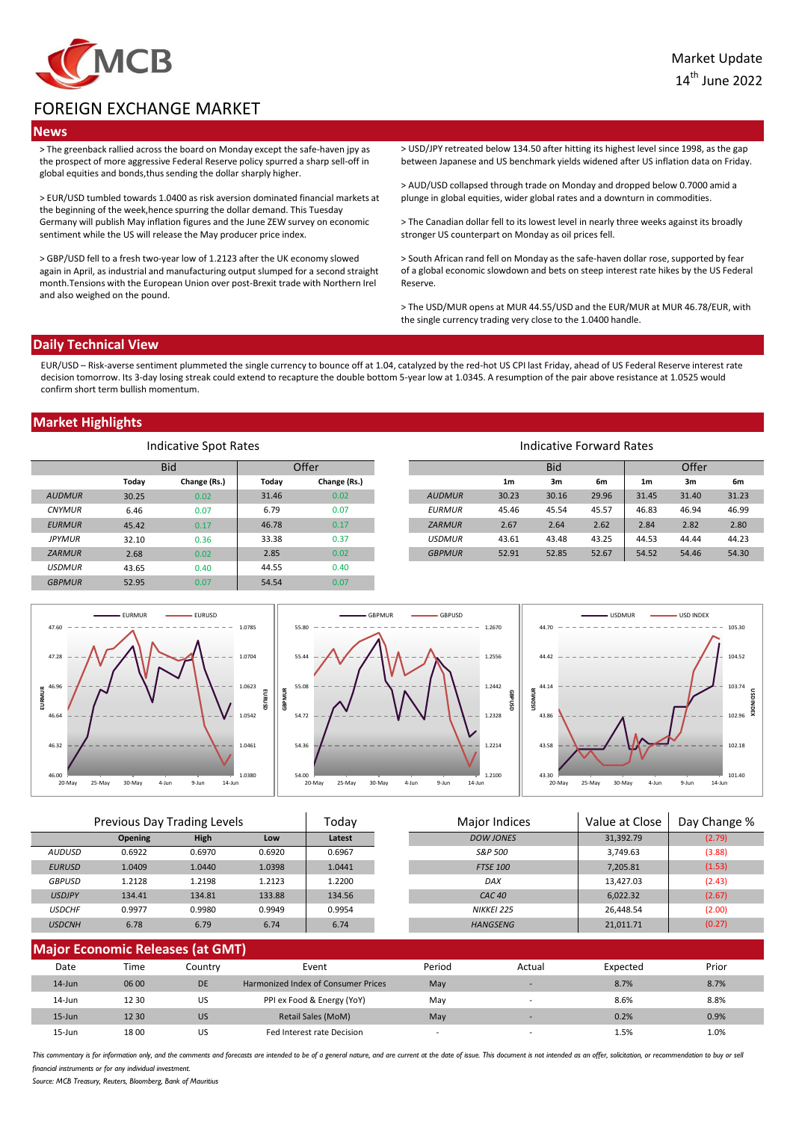

# FOREIGN EXCHANGE MARKET

### **News**

> The greenback rallied across the board on Monday except the safe-haven jpy as the prospect of more aggressive Federal Reserve policy spurred a sharp sell-off in global equities and bonds,thus sending the dollar sharply higher.

> EUR/USD tumbled towards 1.0400 as risk aversion dominated financial markets at the beginning of the week,hence spurring the dollar demand. This Tuesday Germany will publish May inflation figures and the June ZEW survey on economic sentiment while the US will release the May producer price index.

> GBP/USD fell to a fresh two-year low of 1.2123 after the UK economy slowed again in April, as industrial and manufacturing output slumped for a second straight month.Tensions with the European Union over post-Brexit trade with Northern Irel and also weighed on the pound.

> USD/JPY retreated below 134.50 after hitting its highest level since 1998, as the gap between Japanese and US benchmark yields widened after US inflation data on Friday.

> AUD/USD collapsed through trade on Monday and dropped below 0.7000 amid a plunge in global equities, wider global rates and a downturn in commodities.

> The Canadian dollar fell to its lowest level in nearly three weeks against its broadly stronger US counterpart on Monday as oil prices fell.

> South African rand fell on Monday as the safe-haven dollar rose, supported by fear of a global economic slowdown and bets on steep interest rate hikes by the US Federal Reserve.

> The USD/MUR opens at MUR 44.55/USD and the EUR/MUR at MUR 46.78/EUR, with the single currency trading very close to the 1.0400 handle.

## **Daily Technical View**

EUR/USD – Risk-averse sentiment plummeted the single currency to bounce off at 1.04, catalyzed by the red-hot US CPI last Friday, ahead of US Federal Reserve interest rate decision tomorrow. Its 3-day losing streak could extend to recapture the double bottom 5-year low at 1.0345. A resumption of the pair above resistance at 1.0525 would confirm short term bullish momentum.

## **Market Highlights**

| Indicative Spot Rates |            |              |       |              | Indicative Forward Rates |                |            |       |                |       |       |
|-----------------------|------------|--------------|-------|--------------|--------------------------|----------------|------------|-------|----------------|-------|-------|
|                       | <b>Bid</b> |              | Offer |              |                          |                | <b>Bid</b> |       |                | Offer |       |
|                       | Today      | Change (Rs.) | Today | Change (Rs.) |                          | 1 <sub>m</sub> | 3m         | 6m    | 1 <sub>m</sub> | 3m    | 6m    |
| <b>AUDMUR</b>         | 30.25      | 0.02         | 31.46 | 0.02         | <b>AUDMUR</b>            | 30.23          | 30.16      | 29.96 | 31.45          | 31.40 | 31.23 |
| <b>CNYMUR</b>         | 6.46       | 0.07         | 6.79  | 0.07         | <b>EURMUR</b>            | 45.46          | 45.54      | 45.57 | 46.83          | 46.94 | 46.99 |
| <b>EURMUR</b>         | 45.42      | 0.17         | 46.78 | 0.17         | <b>ZARMUR</b>            | 2.67           | 2.64       | 2.62  | 2.84           | 2.82  | 2.80  |
| <b>JPYMUR</b>         | 32.10      | 0.36         | 33.38 | 0.37         | <b>USDMUR</b>            | 43.61          | 43.48      | 43.25 | 44.53          | 44.44 | 44.23 |
| <b>ZARMUR</b>         | 2.68       | 0.02         | 2.85  | 0.02         | <b>GBPMUR</b>            | 52.91          | 52.85      | 52.67 | 54.52          | 54.46 | 54.30 |
| <b>USDMUR</b>         | 43.65      | 0.40         | 44.55 | 0.40         |                          |                |            |       |                |       |       |
| <b>GBPMUR</b>         | 52.95      | 0.07         | 54.54 | 0.07         |                          |                |            |       |                |       |       |



| Previous Day Trading Levels |                                |        | Todav  |        | <b>Major Indices</b> | Value at Close    | Day Change % |        |  |
|-----------------------------|--------------------------------|--------|--------|--------|----------------------|-------------------|--------------|--------|--|
|                             | <b>Opening</b>                 | High   | Low    | Latest |                      | <b>DOW JONES</b>  | 31,392.79    | (2.79) |  |
| <b>AUDUSD</b>               | 0.6922                         | 0.6970 | 0.6920 | 0.6967 |                      | S&P 500           | 3.749.63     | (3.88) |  |
| <b>EURUSD</b>               | 1.0409                         | 1.0440 | 1.0398 | 1.0441 |                      | <b>FTSE 100</b>   | 7,205.81     | (1.53) |  |
| <b>GBPUSD</b>               | 1.2128                         | 1.2198 | 1.2123 | 1.2200 |                      | DAX               | 13,427.03    | (2.43) |  |
| <b>USDJPY</b>               | 134.41                         | 134.81 | 133.88 | 134.56 |                      | CAC <sub>40</sub> | 6,022.32     | (2.67) |  |
| <b>USDCHF</b>               | 0.9977                         | 0.9980 | 0.9949 | 0.9954 |                      | <b>NIKKEI 225</b> | 26.448.54    | (2.00) |  |
| <b>USDCNH</b>               | 6.78                           | 6.79   | 6.74   | 6.74   |                      | <b>HANGSENG</b>   | 21,011.71    | (0.27) |  |
|                             | Maior Franamic Polograph (CMT) |        |        |        |                      |                   |              |        |  |

| <b>Major Economic Releases (at GMT)</b> |       |           |                                     |                          |                          |          |       |  |
|-----------------------------------------|-------|-----------|-------------------------------------|--------------------------|--------------------------|----------|-------|--|
| Date                                    | Time  | Countrv   | Event                               | Period                   | Actual                   | Expected | Prior |  |
| $14$ -Jun                               | 06 00 | <b>DE</b> | Harmonized Index of Consumer Prices | May                      |                          | 8.7%     | 8.7%  |  |
| $14$ -Jun                               | 12 30 | US        | PPI ex Food & Energy (YoY)          | May                      |                          | 8.6%     | 8.8%  |  |
| $15 - Jun$                              | 12 30 | <b>US</b> | Retail Sales (MoM)                  | May                      | $\overline{\phantom{a}}$ | 0.2%     | 0.9%  |  |
| 15-Jun                                  | 1800  | US        | Fed Interest rate Decision          | $\overline{\phantom{0}}$ |                          | 1.5%     | 1.0%  |  |

This commentary is for information only, and the comments and forecasts are intended to be of a general nature, and are current at the date of issue. This document is not intended as an offer, solicitation, or recommendati financial instruments or for any individual investment

*Source: MCB Treasury, Reuters, Bloomberg, Bank of Mauritius*